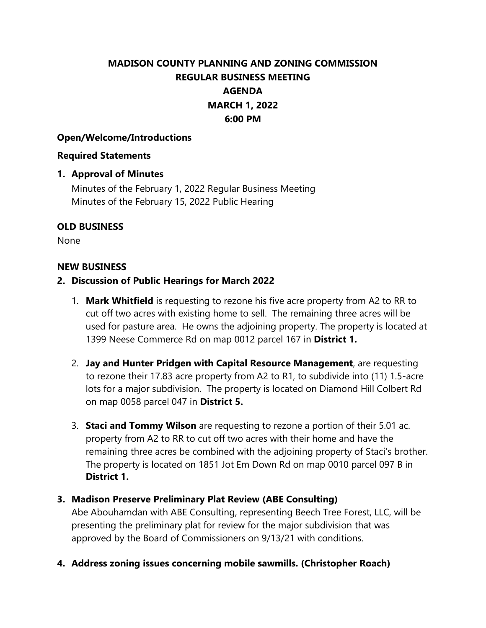# **MADISON COUNTY PLANNING AND ZONING COMMISSION REGULAR BUSINESS MEETING AGENDA MARCH 1, 2022 6:00 PM**

## **Open/Welcome/Introductions**

#### **Required Statements**

# **1. Approval of Minutes**

Minutes of the February 1, 2022 Regular Business Meeting Minutes of the February 15, 2022 Public Hearing

# **OLD BUSINESS**

None

## **NEW BUSINESS**

# **2. Discussion of Public Hearings for March 2022**

- 1. **Mark Whitfield** is requesting to rezone his five acre property from A2 to RR to cut off two acres with existing home to sell. The remaining three acres will be used for pasture area. He owns the adjoining property. The property is located at 1399 Neese Commerce Rd on map 0012 parcel 167 in **District 1.**
- 2. **Jay and Hunter Pridgen with Capital Resource Management**, are requesting to rezone their 17.83 acre property from A2 to R1, to subdivide into (11) 1.5-acre lots for a major subdivision. The property is located on Diamond Hill Colbert Rd on map 0058 parcel 047 in **District 5.**
- 3. **Staci and Tommy Wilson** are requesting to rezone a portion of their 5.01 ac. property from A2 to RR to cut off two acres with their home and have the remaining three acres be combined with the adjoining property of Staci's brother. The property is located on 1851 Jot Em Down Rd on map 0010 parcel 097 B in **District 1.**

# **3. Madison Preserve Preliminary Plat Review (ABE Consulting)**

Abe Abouhamdan with ABE Consulting, representing Beech Tree Forest, LLC, will be presenting the preliminary plat for review for the major subdivision that was approved by the Board of Commissioners on 9/13/21 with conditions.

**4. Address zoning issues concerning mobile sawmills. (Christopher Roach)**